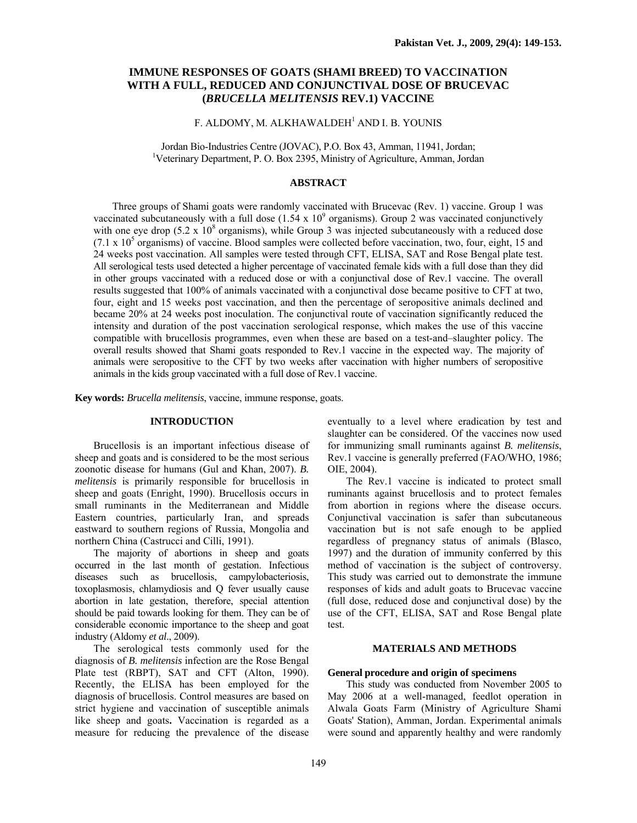# **IMMUNE RESPONSES OF GOATS (SHAMI BREED) TO VACCINATION WITH A FULL, REDUCED AND CONJUNCTIVAL DOSE OF BRUCEVAC (***BRUCELLA MELITENSIS* **REV.1) VACCINE**

# F. ALDOMY, M. ALKHAWALDEH<sup>1</sup> AND I. B. YOUNIS

Jordan Bio-Industries Centre (JOVAC), P.O. Box 43, Amman, 11941, Jordan; 1 Veterinary Department, P. O. Box 2395, Ministry of Agriculture, Amman, Jordan

## **ABSTRACT**

Three groups of Shami goats were randomly vaccinated with Brucevac (Rev. 1) vaccine. Group 1 was vaccinated subcutaneously with a full dose  $(1.54 \times 10^{9} \text{ organisms})$ . Group 2 was vaccinated conjunctively with one eye drop  $(5.2 \times 10^8 \text{ organisms})$ , while Group 3 was injected subcutaneously with a reduced dose  $(7.1 \times 10^5 \text{ organisms})$  of vaccine. Blood samples were collected before vaccination, two, four, eight, 15 and 24 weeks post vaccination. All samples were tested through CFT, ELISA, SAT and Rose Bengal plate test. All serological tests used detected a higher percentage of vaccinated female kids with a full dose than they did in other groups vaccinated with a reduced dose or with a conjunctival dose of Rev.1 vaccine. The overall results suggested that 100% of animals vaccinated with a conjunctival dose became positive to CFT at two, four, eight and 15 weeks post vaccination, and then the percentage of seropositive animals declined and became 20% at 24 weeks post inoculation. The conjunctival route of vaccination significantly reduced the intensity and duration of the post vaccination serological response, which makes the use of this vaccine compatible with brucellosis programmes, even when these are based on a test-and–slaughter policy. The overall results showed that Shami goats responded to Rev.1 vaccine in the expected way. The majority of animals were seropositive to the CFT by two weeks after vaccination with higher numbers of seropositive animals in the kids group vaccinated with a full dose of Rev.1 vaccine.

**Key words:** *Brucella melitensis*, vaccine, immune response, goats.

## **INTRODUCTION**

Brucellosis is an important infectious disease of sheep and goats and is considered to be the most serious zoonotic disease for humans (Gul and Khan, 2007). *B. melitensis* is primarily responsible for brucellosis in sheep and goats (Enright, 1990). Brucellosis occurs in small ruminants in the Mediterranean and Middle Eastern countries, particularly Iran, and spreads eastward to southern regions of Russia, Mongolia and northern China (Castrucci and Cilli, 1991).

The majority of abortions in sheep and goats occurred in the last month of gestation. Infectious diseases such as brucellosis, campylobacteriosis, toxoplasmosis, chlamydiosis and Q fever usually cause abortion in late gestation, therefore, special attention should be paid towards looking for them. They can be of considerable economic importance to the sheep and goat industry (Aldomy *et al*., 2009).

The serological tests commonly used for the diagnosis of *B. melitensis* infection are the Rose Bengal Plate test (RBPT), SAT and CFT (Alton, 1990). Recently, the ELISA has been employed for the diagnosis of brucellosis. Control measures are based on strict hygiene and vaccination of susceptible animals like sheep and goats**.** Vaccination is regarded as a measure for reducing the prevalence of the disease

eventually to a level where eradication by test and slaughter can be considered. Of the vaccines now used for immunizing small ruminants against *B. melitensis*, Rev.1 vaccine is generally preferred (FAO/WHO, 1986; OIE, 2004).

The Rev.1 vaccine is indicated to protect small ruminants against brucellosis and to protect females from abortion in regions where the disease occurs. Conjunctival vaccination is safer than subcutaneous vaccination but is not safe enough to be applied regardless of pregnancy status of animals (Blasco, 1997) and the duration of immunity conferred by this method of vaccination is the subject of controversy. This study was carried out to demonstrate the immune responses of kids and adult goats to Brucevac vaccine (full dose, reduced dose and conjunctival dose) by the use of the CFT, ELISA, SAT and Rose Bengal plate test.

## **MATERIALS AND METHODS**

#### **General procedure and origin of specimens**

This study was conducted from November 2005 to May 2006 at a well-managed, feedlot operation in Alwala Goats Farm (Ministry of Agriculture Shami Goats' Station), Amman, Jordan. Experimental animals were sound and apparently healthy and were randomly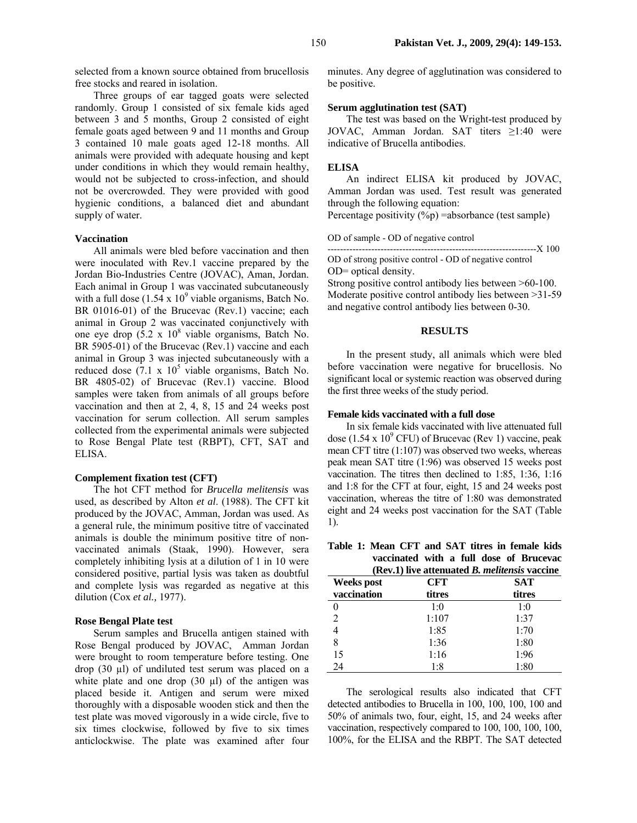selected from a known source obtained from brucellosis free stocks and reared in isolation.

Three groups of ear tagged goats were selected randomly. Group 1 consisted of six female kids aged between 3 and 5 months, Group 2 consisted of eight female goats aged between 9 and 11 months and Group 3 contained 10 male goats aged 12-18 months. All animals were provided with adequate housing and kept under conditions in which they would remain healthy, would not be subjected to cross-infection, and should not be overcrowded. They were provided with good hygienic conditions, a balanced diet and abundant supply of water.

### **Vaccination**

All animals were bled before vaccination and then were inoculated with Rev.1 vaccine prepared by the Jordan Bio-Industries Centre (JOVAC), Aman, Jordan. Each animal in Group 1 was vaccinated subcutaneously with a full dose  $(1.54 \times 10^9)$  viable organisms, Batch No. BR 01016-01) of the Brucevac (Rev.1) vaccine; each animal in Group 2 was vaccinated conjunctively with one eye drop  $(5.2 \times 10^8 \text{ viable organisms}, \text{Batch No.})$ BR 5905-01) of the Brucevac (Rev.1) vaccine and each animal in Group 3 was injected subcutaneously with a reduced dose  $(7.1 \times 10^5 \text{ viable organisms}, \text{Batch No.})$ BR 4805-02) of Brucevac (Rev.1) vaccine. Blood samples were taken from animals of all groups before vaccination and then at 2, 4, 8, 15 and 24 weeks post vaccination for serum collection. All serum samples collected from the experimental animals were subjected to Rose Bengal Plate test (RBPT), CFT, SAT and ELISA.

### **Complement fixation test (CFT)**

The hot CFT method for *Brucella melitensis* was used, as described by Alton *et al*. (1988). The CFT kit produced by the JOVAC, Amman, Jordan was used. As a general rule, the minimum positive titre of vaccinated animals is double the minimum positive titre of nonvaccinated animals (Staak, 1990). However, sera completely inhibiting lysis at a dilution of 1 in 10 were considered positive, partial lysis was taken as doubtful and complete lysis was regarded as negative at this dilution (Cox *et al.,* 1977).

### **Rose Bengal Plate test**

Serum samples and Brucella antigen stained with Rose Bengal produced by JOVAC, Amman Jordan were brought to room temperature before testing. One drop (30 µl) of undiluted test serum was placed on a white plate and one drop  $(30 \mu l)$  of the antigen was placed beside it. Antigen and serum were mixed thoroughly with a disposable wooden stick and then the test plate was moved vigorously in a wide circle, five to six times clockwise, followed by five to six times anticlockwise. The plate was examined after four

minutes. Any degree of agglutination was considered to be positive.

### **Serum agglutination test (SAT)**

The test was based on the Wright-test produced by JOVAC, Amman Jordan. SAT titers ≥1:40 were indicative of Brucella antibodies.

### **ELISA**

An indirect ELISA kit produced by JOVAC, Amman Jordan was used. Test result was generated through the following equation: Percentage positivity  $(\%p)$  =absorbance (test sample)

OD of sample - OD of negative control

-------------------------------------------------------------------X 100

OD of strong positive control - OD of negative control OD= optical density. Strong positive control antibody lies between >60-100.

Moderate positive control antibody lies between >31-59 and negative control antibody lies between 0-30.

## **RESULTS**

In the present study, all animals which were bled before vaccination were negative for brucellosis. No significant local or systemic reaction was observed during the first three weeks of the study period.

### **Female kids vaccinated with a full dose**

In six female kids vaccinated with live attenuated full dose (1.54 x  $10^9$  CFU) of Brucevac (Rev 1) vaccine, peak mean CFT titre (1:107) was observed two weeks, whereas peak mean SAT titre (1:96) was observed 15 weeks post vaccination. The titres then declined to 1:85, 1:36, 1:16 and 1:8 for the CFT at four, eight, 15 and 24 weeks post vaccination, whereas the titre of 1:80 was demonstrated eight and 24 weeks post vaccination for the SAT (Table 1).

**Table 1: Mean CFT and SAT titres in female kids vaccinated with a full dose of Brucevac (Rev.1) live attenuated** *B. melitensis* **vaccine**

| (Rev.1) live attenuated <i>B. melitensis</i> vaccine |            |            |  |  |
|------------------------------------------------------|------------|------------|--|--|
| <b>Weeks</b> post                                    | <b>CFT</b> | <b>SAT</b> |  |  |
| vaccination                                          | titres     | titres     |  |  |
|                                                      | 1:0        | 1:0        |  |  |
|                                                      | 1:107      | 1:37       |  |  |
|                                                      | 1:85       | 1:70       |  |  |
| 8                                                    | 1:36       | 1:80       |  |  |
| 15                                                   | 1:16       | 1:96       |  |  |
| 24                                                   | 1:8        | 1:80       |  |  |

The serological results also indicated that CFT detected antibodies to Brucella in 100, 100, 100, 100 and 50% of animals two, four, eight, 15, and 24 weeks after vaccination, respectively compared to 100, 100, 100, 100, 100%, for the ELISA and the RBPT. The SAT detected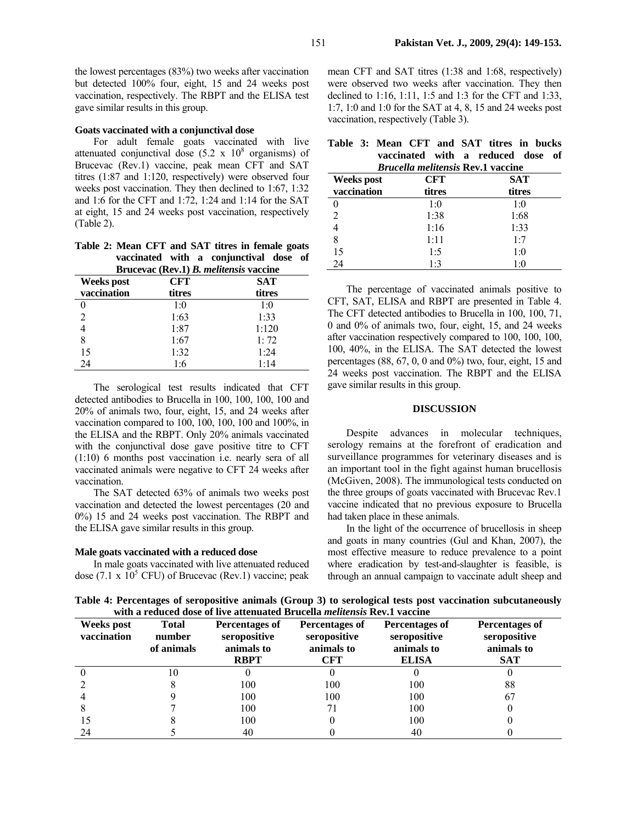the lowest percentages (83%) two weeks after vaccination but detected 100% four, eight, 15 and 24 weeks post vaccination, respectively. The RBPT and the ELISA test gave similar results in this group.

### **Goats vaccinated with a conjunctival dose**

For adult female goats vaccinated with live attenuated conjunctival dose  $(5.2 \times 10^8 \text{ organisms})$  of Brucevac (Rev.1) vaccine, peak mean CFT and SAT titres (1:87 and 1:120, respectively) were observed four weeks post vaccination. They then declined to 1:67, 1:32 and 1:6 for the CFT and 1:72, 1:24 and 1:14 for the SAT at eight, 15 and 24 weeks post vaccination, respectively (Table 2).

**Table 2: Mean CFT and SAT titres in female goats vaccinated with a conjunctival dose of Brucevac (Rev.1)** *B. melitensis* **vaccine**

| <b>Weeks</b> post | $D_1$ accesse (100 s) $D_2$ memoring statement<br><b>CFT</b> | <b>SAT</b> |
|-------------------|--------------------------------------------------------------|------------|
| vaccination       | titres                                                       | titres     |
|                   | 1:0                                                          | 1:0        |
| $\mathfrak{D}$    | 1:63                                                         | 1:33       |
|                   | 1:87                                                         | 1:120      |
| 8                 | 1:67                                                         | 1:72       |
| 15                | 1:32                                                         | 1:24       |
| 24                | 1:6                                                          | 1:14       |

The serological test results indicated that CFT detected antibodies to Brucella in 100, 100, 100, 100 and 20% of animals two, four, eight, 15, and 24 weeks after vaccination compared to 100, 100, 100, 100 and 100%, in the ELISA and the RBPT. Only 20% animals vaccinated with the conjunctival dose gave positive titre to CFT (1:10) 6 months post vaccination i.e. nearly sera of all vaccinated animals were negative to CFT 24 weeks after vaccination.

The SAT detected 63% of animals two weeks post vaccination and detected the lowest percentages (20 and 0%) 15 and 24 weeks post vaccination. The RBPT and the ELISA gave similar results in this group.

#### **Male goats vaccinated with a reduced dose**

In male goats vaccinated with live attenuated reduced dose (7.1 x  $10^5$  CFU) of Brucevac (Rev.1) vaccine; peak mean CFT and SAT titres (1:38 and 1:68, respectively) were observed two weeks after vaccination. They then declined to 1:16, 1:11, 1:5 and 1:3 for the CFT and 1:33, 1:7, 1:0 and 1:0 for the SAT at 4, 8, 15 and 24 weeks post vaccination, respectively (Table 3).

|  | Table 3: Mean CFT and SAT titres in bucks |                                   |  |                                   |  |  |
|--|-------------------------------------------|-----------------------------------|--|-----------------------------------|--|--|
|  |                                           |                                   |  | vaccinated with a reduced dose of |  |  |
|  |                                           | $\mathbf{r}$ , where $\mathbf{r}$ |  |                                   |  |  |

| <i>Brucella melitensis Rev.1 vaccine</i> |        |        |  |  |
|------------------------------------------|--------|--------|--|--|
| <b>SAT</b><br>CFT<br><b>Weeks</b> post   |        |        |  |  |
| vaccination                              | titres | titres |  |  |
|                                          | 1:0    | 1:0    |  |  |
|                                          | 1:38   | 1:68   |  |  |
|                                          | 1:16   | 1:33   |  |  |
| 8                                        | 1:11   | 1:7    |  |  |
| 15                                       | 1:5    | 1:0    |  |  |
| 24                                       | 1.3    | 1:0    |  |  |

The percentage of vaccinated animals positive to CFT, SAT, ELISA and RBPT are presented in Table 4. The CFT detected antibodies to Brucella in 100, 100, 71, 0 and 0% of animals two, four, eight, 15, and 24 weeks after vaccination respectively compared to 100, 100, 100, 100, 40%, in the ELISA. The SAT detected the lowest percentages (88, 67, 0, 0 and 0%) two, four, eight, 15 and 24 weeks post vaccination. The RBPT and the ELISA gave similar results in this group.

#### **DISCUSSION**

Despite advances in molecular techniques, serology remains at the forefront of eradication and surveillance programmes for veterinary diseases and is an important tool in the fight against human brucellosis (McGiven, 2008). The immunological tests conducted on the three groups of goats vaccinated with Brucevac Rev.1 vaccine indicated that no previous exposure to Brucella had taken place in these animals.

In the light of the occurrence of brucellosis in sheep and goats in many countries (Gul and Khan, 2007), the most effective measure to reduce prevalence to a point where eradication by test-and-slaughter is feasible, is through an annual campaign to vaccinate adult sheep and

**Table 4: Percentages of seropositive animals (Group 3) to serological tests post vaccination subcutaneously with a reduced dose of live attenuated Brucella** *melitensis* **Rev.1 vaccine** 

| Weeks post<br>vaccination | <b>Total</b><br>number<br>of animals | Percentages of<br>seropositive<br>animals to<br><b>RBPT</b> | Percentages of<br>seropositive<br>animals to<br><b>CFT</b> | Percentages of<br>seropositive<br>animals to<br><b>ELISA</b> | Percentages of<br>seropositive<br>animals to<br><b>SAT</b> |
|---------------------------|--------------------------------------|-------------------------------------------------------------|------------------------------------------------------------|--------------------------------------------------------------|------------------------------------------------------------|
|                           |                                      | U                                                           |                                                            | U                                                            |                                                            |
|                           |                                      | 100                                                         | 100                                                        | 100                                                          | 88                                                         |
|                           |                                      | 100                                                         | 100                                                        | 100                                                          | 67                                                         |
|                           |                                      | 100                                                         |                                                            | 100                                                          |                                                            |
|                           |                                      | 100                                                         |                                                            | 100                                                          |                                                            |
| 24                        |                                      | 40                                                          |                                                            | 40                                                           |                                                            |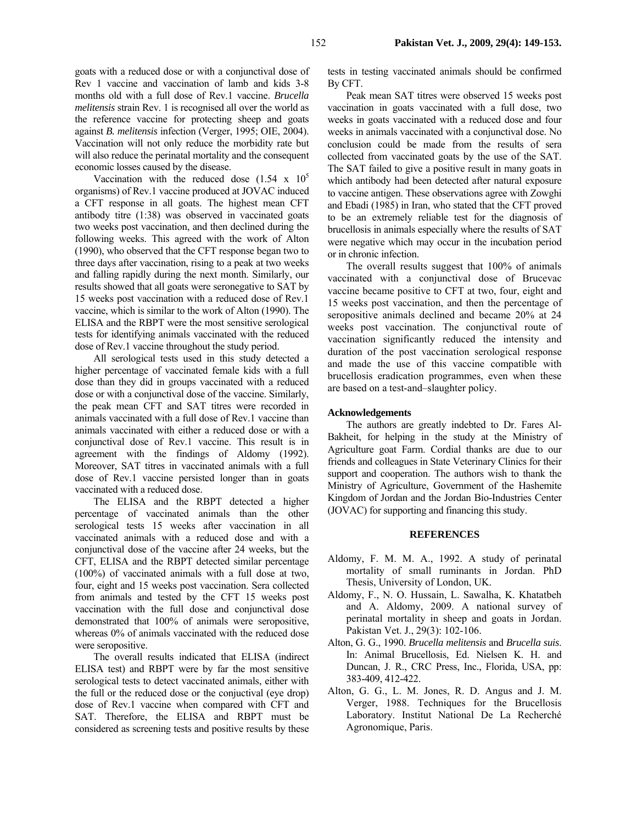goats with a reduced dose or with a conjunctival dose of Rev 1 vaccine and vaccination of lamb and kids 3-8 months old with a full dose of Rev.1 vaccine. *Brucella melitensis* strain Rev. 1 is recognised all over the world as the reference vaccine for protecting sheep and goats against *B. melitensis* infection (Verger, 1995; OIE, 2004). Vaccination will not only reduce the morbidity rate but will also reduce the perinatal mortality and the consequent economic losses caused by the disease.

Vaccination with the reduced dose  $(1.54 \times 10^5$ organisms) of Rev.1 vaccine produced at JOVAC induced a CFT response in all goats. The highest mean CFT antibody titre (1:38) was observed in vaccinated goats two weeks post vaccination, and then declined during the following weeks. This agreed with the work of Alton (1990), who observed that the CFT response began two to three days after vaccination, rising to a peak at two weeks and falling rapidly during the next month. Similarly, our results showed that all goats were seronegative to SAT by 15 weeks post vaccination with a reduced dose of Rev.1 vaccine, which is similar to the work of Alton (1990). The ELISA and the RBPT were the most sensitive serological tests for identifying animals vaccinated with the reduced dose of Rev.1 vaccine throughout the study period.

All serological tests used in this study detected a higher percentage of vaccinated female kids with a full dose than they did in groups vaccinated with a reduced dose or with a conjunctival dose of the vaccine. Similarly, the peak mean CFT and SAT titres were recorded in animals vaccinated with a full dose of Rev.1 vaccine than animals vaccinated with either a reduced dose or with a conjunctival dose of Rev.1 vaccine. This result is in agreement with the findings of Aldomy (1992). Moreover, SAT titres in vaccinated animals with a full dose of Rev.1 vaccine persisted longer than in goats vaccinated with a reduced dose.

The ELISA and the RBPT detected a higher percentage of vaccinated animals than the other serological tests 15 weeks after vaccination in all vaccinated animals with a reduced dose and with a conjunctival dose of the vaccine after 24 weeks, but the CFT, ELISA and the RBPT detected similar percentage (100%) of vaccinated animals with a full dose at two, four, eight and 15 weeks post vaccination. Sera collected from animals and tested by the CFT 15 weeks post vaccination with the full dose and conjunctival dose demonstrated that 100% of animals were seropositive, whereas 0% of animals vaccinated with the reduced dose were seropositive.

The overall results indicated that ELISA (indirect ELISA test) and RBPT were by far the most sensitive serological tests to detect vaccinated animals, either with the full or the reduced dose or the conjuctival (eye drop) dose of Rev.1 vaccine when compared with CFT and SAT. Therefore, the ELISA and RBPT must be considered as screening tests and positive results by these

tests in testing vaccinated animals should be confirmed By CFT.

Peak mean SAT titres were observed 15 weeks post vaccination in goats vaccinated with a full dose, two weeks in goats vaccinated with a reduced dose and four weeks in animals vaccinated with a conjunctival dose. No conclusion could be made from the results of sera collected from vaccinated goats by the use of the SAT. The SAT failed to give a positive result in many goats in which antibody had been detected after natural exposure to vaccine antigen. These observations agree with Zowghi and Ebadi (1985) in Iran, who stated that the CFT proved to be an extremely reliable test for the diagnosis of brucellosis in animals especially where the results of SAT were negative which may occur in the incubation period or in chronic infection.

The overall results suggest that 100% of animals vaccinated with a conjunctival dose of Brucevac vaccine became positive to CFT at two, four, eight and 15 weeks post vaccination, and then the percentage of seropositive animals declined and became 20% at 24 weeks post vaccination. The conjunctival route of vaccination significantly reduced the intensity and duration of the post vaccination serological response and made the use of this vaccine compatible with brucellosis eradication programmes, even when these are based on a test-and–slaughter policy.

### **Acknowledgements**

The authors are greatly indebted to Dr. Fares Al-Bakheit, for helping in the study at the Ministry of Agriculture goat Farm. Cordial thanks are due to our friends and colleagues in State Veterinary Clinics for their support and cooperation. The authors wish to thank the Ministry of Agriculture, Government of the Hashemite Kingdom of Jordan and the Jordan Bio-Industries Center (JOVAC) for supporting and financing this study.

#### **REFERENCES**

- Aldomy, F. M. M. A., 1992. A study of perinatal mortality of small ruminants in Jordan. PhD Thesis, University of London, UK.
- Aldomy, F., N. O. Hussain, L. Sawalha, K. Khatatbeh and A. Aldomy, 2009. A national survey of perinatal mortality in sheep and goats in Jordan. Pakistan Vet. J., 29(3): 102-106.
- Alton, G. G., 1990. *Brucella melitensis* and *Brucella suis*. In: Animal Brucellosis, Ed. Nielsen K. H. and Duncan, J. R., CRC Press, Inc., Florida, USA, pp: 383-409, 412-422.
- Alton, G. G., L. M. Jones, R. D. Angus and J. M. Verger, 1988. Techniques for the Brucellosis Laboratory. Institut National De La Recherché Agronomique, Paris.